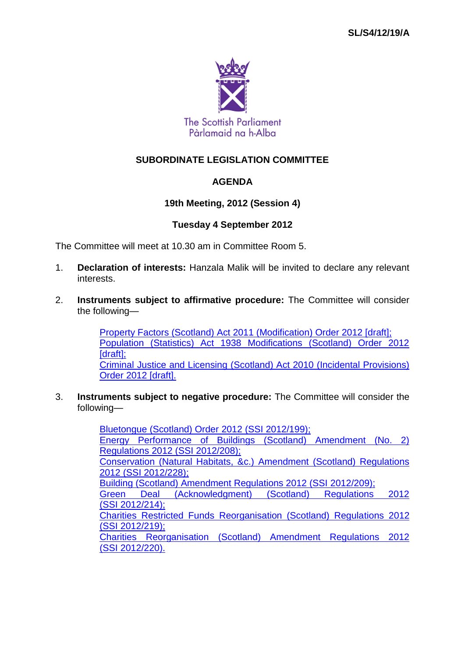

# **SUBORDINATE LEGISLATION COMMITTEE**

# **AGENDA**

## **19th Meeting, 2012 (Session 4)**

## **Tuesday 4 September 2012**

The Committee will meet at 10.30 am in Committee Room 5.

- 1. **Declaration of interests:** Hanzala Malik will be invited to declare any relevant interests.
- 2. **Instruments subject to affirmative procedure:** The Committee will consider the following—

[Property Factors \(Scotland\) Act 2011 \(Modification\) Order 2012 \[draft\];](http://www.legislation.gov.uk/sdsi/2012/9780111017579/contents) [Population \(Statistics\) Act 1938 Modifications \(Scotland\) Order 2012](http://www.legislation.gov.uk/sdsi/2012/9780111017616/contents)  [\[draft\];](http://www.legislation.gov.uk/sdsi/2012/9780111017616/contents) Criminal Justice and Licensing [\(Scotland\) Act 2010 \(Incidental Provisions\)](http://www.legislation.gov.uk/sdsi/2012/9780111017708/contents)  [Order 2012 \[draft\].](http://www.legislation.gov.uk/sdsi/2012/9780111017708/contents)

3. **Instruments subject to negative procedure:** The Committee will consider the following—

> [Bluetongue \(Scotland\) Order](http://www.legislation.gov.uk/ssi/2012/199/contents/made) 2012 (SSI 2012/199); [Energy Performance of Buildings \(Scotland\) Amendment \(No. 2\)](http://www.legislation.gov.uk/ssi/2012/208/contents/made)  [Regulations 2012 \(SSI](http://www.legislation.gov.uk/ssi/2012/208/contents/made) 2012/208); [Conservation \(Natural Habitats, &c.\) Amendment \(Scotland\) Regulations](http://www.legislation.gov.uk/ssi/2012/228/contents/made)  2012 (SSI [2012/228\);](http://www.legislation.gov.uk/ssi/2012/228/contents/made) [Building \(Scotland\) Amendment Regulations 2012 \(SSI](http://www.legislation.gov.uk/ssi/2012/209/contents/made) 2012/209); [Green Deal \(Acknowledgment\) \(Scotland\) Regulations 2012](http://www.legislation.gov.uk/ssi/2012/214/contents/made)  (SSI [2012/214\);](http://www.legislation.gov.uk/ssi/2012/214/contents/made) [Charities Restricted Funds Reorganisation \(Scotland\) Regulations 2012](http://www.legislation.gov.uk/ssi/2012/219/contents/made)  (SSI [2012/219\);](http://www.legislation.gov.uk/ssi/2012/219/contents/made) [Charities Reorganisation \(Scotland\) Amendment Regulations 2012](http://www.legislation.gov.uk/ssi/2012/220/contents/made)  (SSI [2012/220\).](http://www.legislation.gov.uk/ssi/2012/220/contents/made)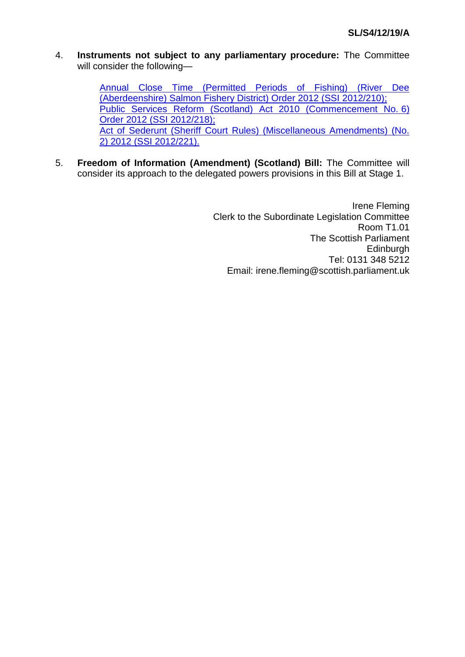4. **Instruments not subject to any parliamentary procedure:** The Committee will consider the following—

> [Annual Close Time \(Permitted Periods of Fishing\) \(River Dee](http://www.legislation.gov.uk/ssi/2012/210/contents/made)  [\(Aberdeenshire\) Salmon Fishery District\) Order 2012 \(SSI](http://www.legislation.gov.uk/ssi/2012/210/contents/made) 2012/210); [Public Services Reform \(Scotland\) Act 2010 \(Commencement No.](http://www.legislation.gov.uk/ssi/2012/218/contents/made) 6) [Order 2012 \(SSI](http://www.legislation.gov.uk/ssi/2012/218/contents/made) 2012/218); [Act of Sederunt \(Sheriff Court Rules\) \(Miscellaneous Amendments\) \(No.](http://www.legislation.gov.uk/ssi/2012/221/contents/made)  [2\) 2012 \(SSI](http://www.legislation.gov.uk/ssi/2012/221/contents/made) 2012/221).

5. **Freedom of Information (Amendment) (Scotland) Bill:** The Committee will consider its approach to the delegated powers provisions in this Bill at Stage 1.

> Irene Fleming Clerk to the Subordinate Legislation Committee Room T1.01 The Scottish Parliament Edinburgh Tel: 0131 348 5212 Email: irene.fleming@scottish.parliament.uk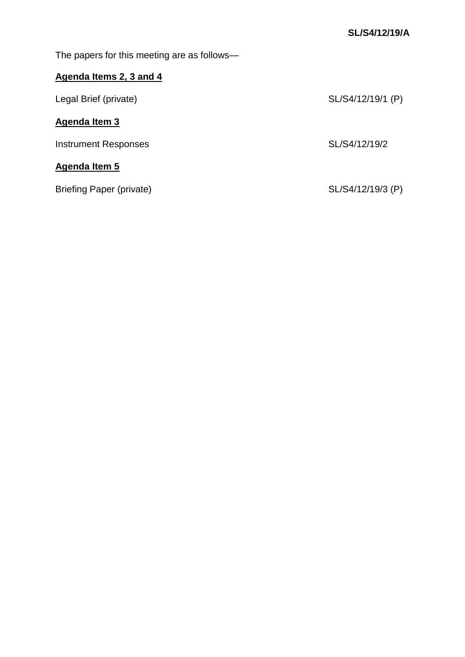The papers for this meeting are as follows—

# **Agenda Items 2, 3 and 4**

| Legal Brief (private)           | SL/S4/12/19/1 (P) |
|---------------------------------|-------------------|
| <b>Agenda Item 3</b>            |                   |
| <b>Instrument Responses</b>     | SL/S4/12/19/2     |
| Agenda Item 5                   |                   |
| <b>Briefing Paper (private)</b> | SL/S4/12/19/3 (P) |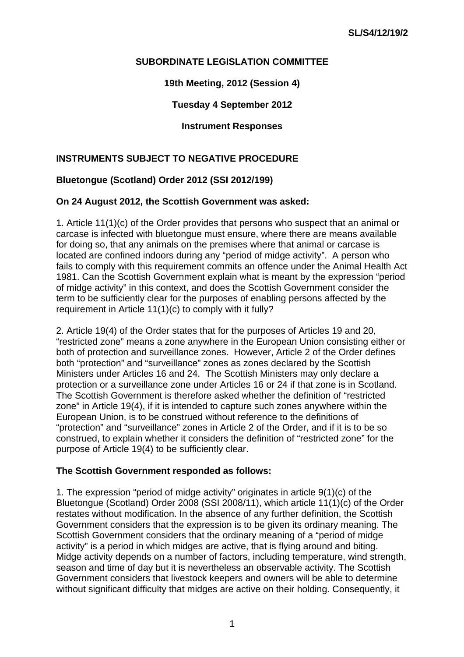## **SUBORDINATE LEGISLATION COMMITTEE**

#### **19th Meeting, 2012 (Session 4)**

**Tuesday 4 September 2012** 

**Instrument Responses** 

## **INSTRUMENTS SUBJECT TO NEGATIVE PROCEDURE**

## **Bluetongue (Scotland) Order 2012 (SSI 2012/199)**

#### **On 24 August 2012, the Scottish Government was asked:**

1. Article 11(1)(c) of the Order provides that persons who suspect that an animal or carcase is infected with bluetongue must ensure, where there are means available for doing so, that any animals on the premises where that animal or carcase is located are confined indoors during any "period of midge activity". A person who fails to comply with this requirement commits an offence under the Animal Health Act 1981. Can the Scottish Government explain what is meant by the expression "period of midge activity" in this context, and does the Scottish Government consider the term to be sufficiently clear for the purposes of enabling persons affected by the requirement in Article 11(1)(c) to comply with it fully?

2. Article 19(4) of the Order states that for the purposes of Articles 19 and 20, "restricted zone" means a zone anywhere in the European Union consisting either or both of protection and surveillance zones. However, Article 2 of the Order defines both "protection" and "surveillance" zones as zones declared by the Scottish Ministers under Articles 16 and 24. The Scottish Ministers may only declare a protection or a surveillance zone under Articles 16 or 24 if that zone is in Scotland. The Scottish Government is therefore asked whether the definition of "restricted zone" in Article 19(4), if it is intended to capture such zones anywhere within the European Union, is to be construed without reference to the definitions of "protection" and "surveillance" zones in Article 2 of the Order, and if it is to be so construed, to explain whether it considers the definition of "restricted zone" for the purpose of Article 19(4) to be sufficiently clear.

#### **The Scottish Government responded as follows:**

1. The expression "period of midge activity" originates in article 9(1)(c) of the Bluetongue (Scotland) Order 2008 (SSI 2008/11), which article 11(1)(c) of the Order restates without modification. In the absence of any further definition, the Scottish Government considers that the expression is to be given its ordinary meaning. The Scottish Government considers that the ordinary meaning of a "period of midge activity" is a period in which midges are active, that is flying around and biting. Midge activity depends on a number of factors, including temperature, wind strength, season and time of day but it is nevertheless an observable activity. The Scottish Government considers that livestock keepers and owners will be able to determine without significant difficulty that midges are active on their holding. Consequently, it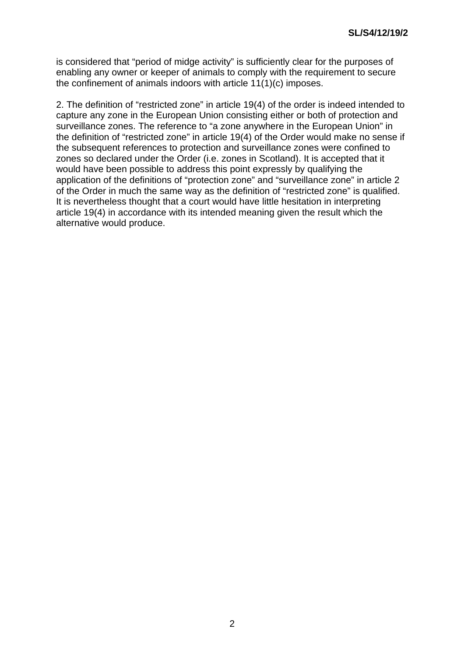is considered that "period of midge activity" is sufficiently clear for the purposes of enabling any owner or keeper of animals to comply with the requirement to secure the confinement of animals indoors with article 11(1)(c) imposes.

2. The definition of "restricted zone" in article 19(4) of the order is indeed intended to capture any zone in the European Union consisting either or both of protection and surveillance zones. The reference to "a zone anywhere in the European Union" in the definition of "restricted zone" in article 19(4) of the Order would make no sense if the subsequent references to protection and surveillance zones were confined to zones so declared under the Order (i.e. zones in Scotland). It is accepted that it would have been possible to address this point expressly by qualifying the application of the definitions of "protection zone" and "surveillance zone" in article 2 of the Order in much the same way as the definition of "restricted zone" is qualified. It is nevertheless thought that a court would have little hesitation in interpreting article 19(4) in accordance with its intended meaning given the result which the alternative would produce.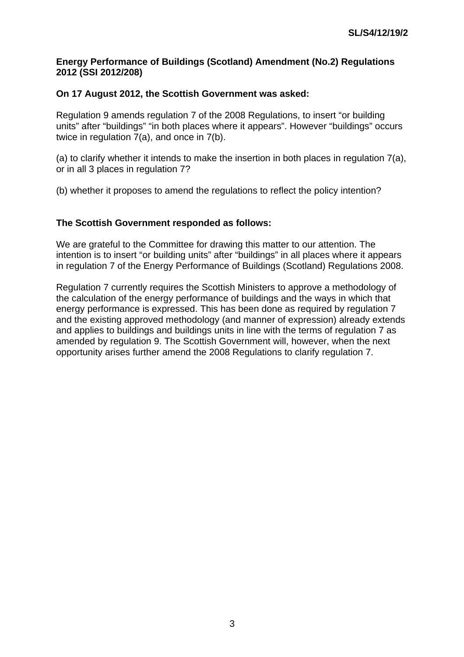#### **Energy Performance of Buildings (Scotland) Amendment (No.2) Regulations 2012 (SSI 2012/208)**

#### **On 17 August 2012, the Scottish Government was asked:**

Regulation 9 amends regulation 7 of the 2008 Regulations, to insert "or building units" after "buildings" "in both places where it appears". However "buildings" occurs twice in regulation 7(a), and once in 7(b).

(a) to clarify whether it intends to make the insertion in both places in regulation 7(a), or in all 3 places in regulation 7?

(b) whether it proposes to amend the regulations to reflect the policy intention?

## **The Scottish Government responded as follows:**

We are grateful to the Committee for drawing this matter to our attention. The intention is to insert "or building units" after "buildings" in all places where it appears in regulation 7 of the Energy Performance of Buildings (Scotland) Regulations 2008.

Regulation 7 currently requires the Scottish Ministers to approve a methodology of the calculation of the energy performance of buildings and the ways in which that energy performance is expressed. This has been done as required by regulation 7 and the existing approved methodology (and manner of expression) already extends and applies to buildings and buildings units in line with the terms of regulation 7 as amended by regulation 9. The Scottish Government will, however, when the next opportunity arises further amend the 2008 Regulations to clarify regulation 7.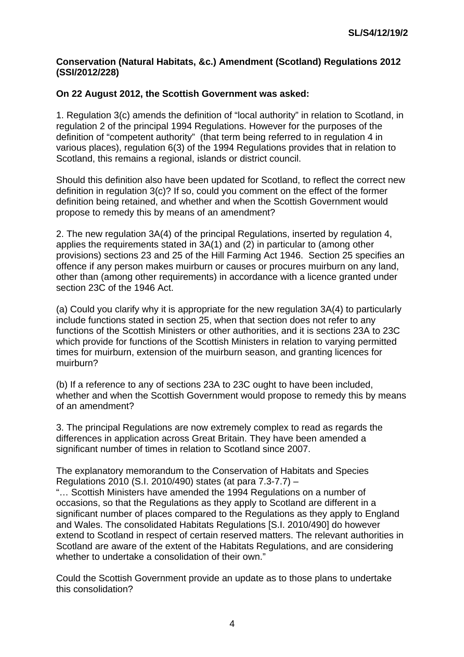#### **Conservation (Natural Habitats, &c.) Amendment (Scotland) Regulations 2012 (SSI/2012/228)**

# **On 22 August 2012, the Scottish Government was asked:**

1. Regulation 3(c) amends the definition of "local authority" in relation to Scotland, in regulation 2 of the principal 1994 Regulations. However for the purposes of the definition of "competent authority" (that term being referred to in regulation 4 in various places), regulation 6(3) of the 1994 Regulations provides that in relation to Scotland, this remains a regional, islands or district council.

Should this definition also have been updated for Scotland, to reflect the correct new definition in regulation 3(c)? If so, could you comment on the effect of the former definition being retained, and whether and when the Scottish Government would propose to remedy this by means of an amendment?

2. The new regulation 3A(4) of the principal Regulations, inserted by regulation 4, applies the requirements stated in 3A(1) and (2) in particular to (among other provisions) sections 23 and 25 of the Hill Farming Act 1946. Section 25 specifies an offence if any person makes muirburn or causes or procures muirburn on any land, other than (among other requirements) in accordance with a licence granted under section 23C of the 1946 Act.

(a) Could you clarify why it is appropriate for the new regulation 3A(4) to particularly include functions stated in section 25, when that section does not refer to any functions of the Scottish Ministers or other authorities, and it is sections 23A to 23C which provide for functions of the Scottish Ministers in relation to varying permitted times for muirburn, extension of the muirburn season, and granting licences for muirburn?

(b) If a reference to any of sections 23A to 23C ought to have been included, whether and when the Scottish Government would propose to remedy this by means of an amendment?

3. The principal Regulations are now extremely complex to read as regards the differences in application across Great Britain. They have been amended a significant number of times in relation to Scotland since 2007.

The explanatory memorandum to the Conservation of Habitats and Species Regulations 2010 (S.I. 2010/490) states (at para 7.3-7.7) –

"… Scottish Ministers have amended the 1994 Regulations on a number of occasions, so that the Regulations as they apply to Scotland are different in a significant number of places compared to the Regulations as they apply to England and Wales. The consolidated Habitats Regulations [S.I. 2010/490] do however extend to Scotland in respect of certain reserved matters. The relevant authorities in Scotland are aware of the extent of the Habitats Regulations, and are considering whether to undertake a consolidation of their own."

Could the Scottish Government provide an update as to those plans to undertake this consolidation?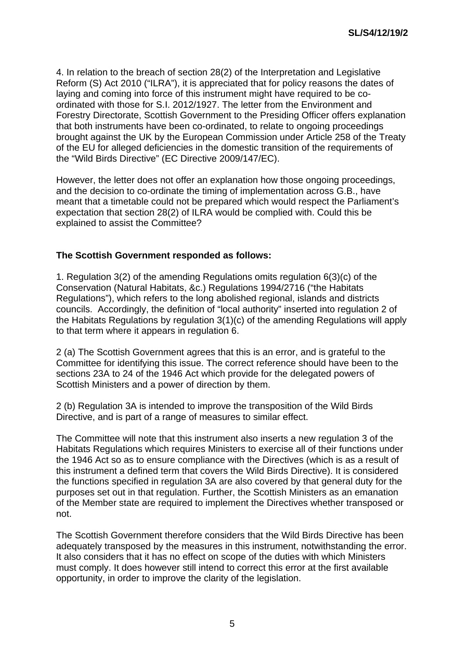4. In relation to the breach of section 28(2) of the Interpretation and Legislative Reform (S) Act 2010 ("ILRA"), it is appreciated that for policy reasons the dates of laying and coming into force of this instrument might have required to be coordinated with those for S.I. 2012/1927. The letter from the Environment and Forestry Directorate, Scottish Government to the Presiding Officer offers explanation that both instruments have been co-ordinated, to relate to ongoing proceedings brought against the UK by the European Commission under Article 258 of the Treaty of the EU for alleged deficiencies in the domestic transition of the requirements of the "Wild Birds Directive" (EC Directive 2009/147/EC).

However, the letter does not offer an explanation how those ongoing proceedings, and the decision to co-ordinate the timing of implementation across G.B., have meant that a timetable could not be prepared which would respect the Parliament's expectation that section 28(2) of ILRA would be complied with. Could this be explained to assist the Committee?

#### **The Scottish Government responded as follows:**

1. Regulation 3(2) of the amending Regulations omits regulation 6(3)(c) of the Conservation (Natural Habitats, &c.) Regulations 1994/2716 ("the Habitats Regulations"), which refers to the long abolished regional, islands and districts councils. Accordingly, the definition of "local authority" inserted into regulation 2 of the Habitats Regulations by regulation 3(1)(c) of the amending Regulations will apply to that term where it appears in regulation 6.

2 (a) The Scottish Government agrees that this is an error, and is grateful to the Committee for identifying this issue. The correct reference should have been to the sections 23A to 24 of the 1946 Act which provide for the delegated powers of Scottish Ministers and a power of direction by them.

2 (b) Regulation 3A is intended to improve the transposition of the Wild Birds Directive, and is part of a range of measures to similar effect.

The Committee will note that this instrument also inserts a new regulation 3 of the Habitats Regulations which requires Ministers to exercise all of their functions under the 1946 Act so as to ensure compliance with the Directives (which is as a result of this instrument a defined term that covers the Wild Birds Directive). It is considered the functions specified in regulation 3A are also covered by that general duty for the purposes set out in that regulation. Further, the Scottish Ministers as an emanation of the Member state are required to implement the Directives whether transposed or not.

The Scottish Government therefore considers that the Wild Birds Directive has been adequately transposed by the measures in this instrument, notwithstanding the error. It also considers that it has no effect on scope of the duties with which Ministers must comply. It does however still intend to correct this error at the first available opportunity, in order to improve the clarity of the legislation.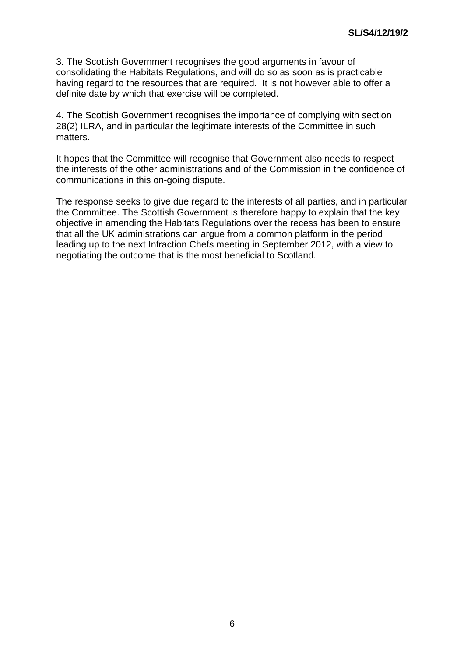3. The Scottish Government recognises the good arguments in favour of consolidating the Habitats Regulations, and will do so as soon as is practicable having regard to the resources that are required. It is not however able to offer a definite date by which that exercise will be completed.

4. The Scottish Government recognises the importance of complying with section 28(2) ILRA, and in particular the legitimate interests of the Committee in such matters.

It hopes that the Committee will recognise that Government also needs to respect the interests of the other administrations and of the Commission in the confidence of communications in this on-going dispute.

The response seeks to give due regard to the interests of all parties, and in particular the Committee. The Scottish Government is therefore happy to explain that the key objective in amending the Habitats Regulations over the recess has been to ensure that all the UK administrations can argue from a common platform in the period leading up to the next Infraction Chefs meeting in September 2012, with a view to negotiating the outcome that is the most beneficial to Scotland.